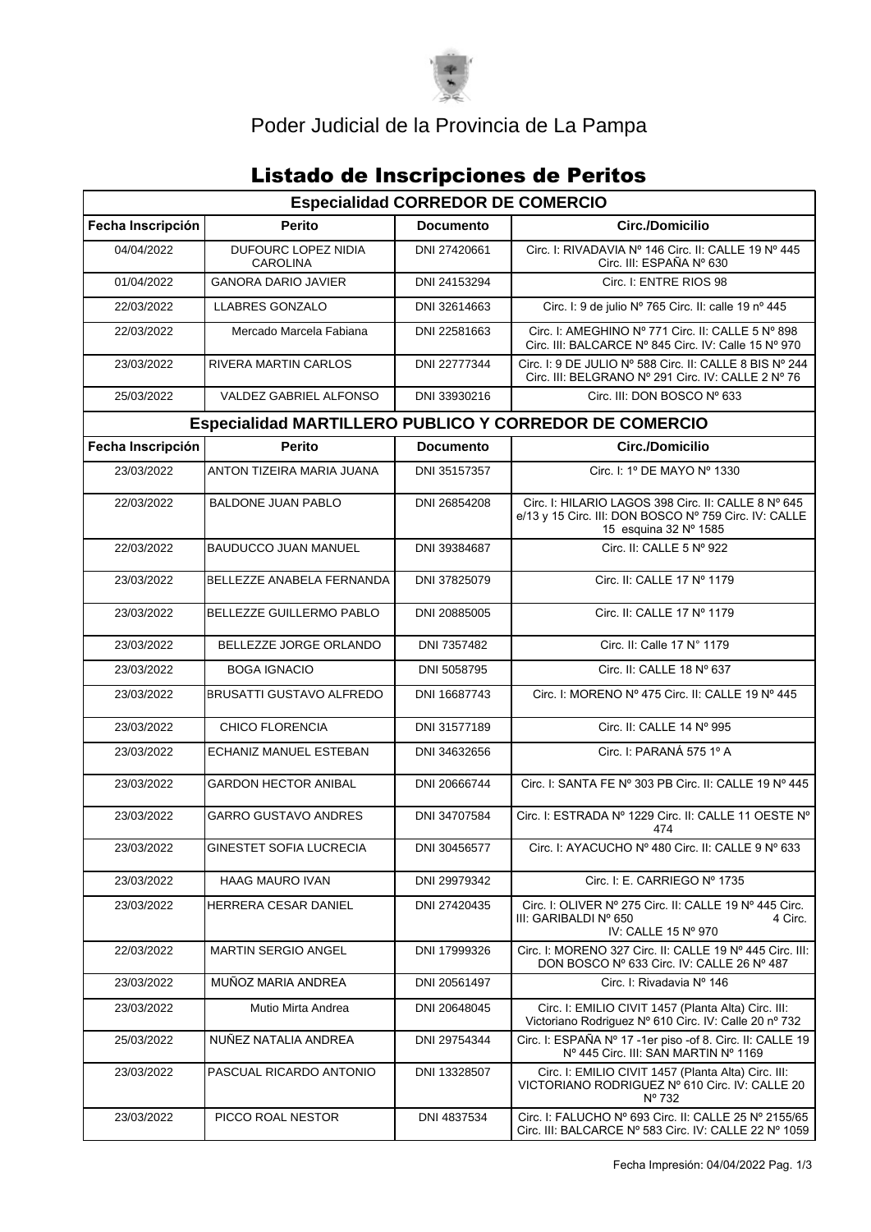

# Poder Judicial de la Provincia de La Pampa

# **Listado de Inscripciones de Peritos**

| <b>Especialidad CORREDOR DE COMERCIO</b>                      |                                        |                  |                                                                                                                                       |  |  |  |  |
|---------------------------------------------------------------|----------------------------------------|------------------|---------------------------------------------------------------------------------------------------------------------------------------|--|--|--|--|
| Fecha Inscripción                                             | <b>Perito</b>                          | <b>Documento</b> | Circ./Domicilio                                                                                                                       |  |  |  |  |
| 04/04/2022                                                    | DUFOURC LOPEZ NIDIA<br><b>CAROLINA</b> | DNI 27420661     | Circ. I: RIVADAVIA Nº 146 Circ. II: CALLE 19 Nº 445<br>Circ. III: ESPAÑA Nº 630                                                       |  |  |  |  |
| 01/04/2022                                                    | <b>GANORA DARIO JAVIER</b>             | DNI 24153294     | Circ. I: ENTRE RIOS 98                                                                                                                |  |  |  |  |
| 22/03/2022                                                    | <b>LLABRES GONZALO</b>                 | DNI 32614663     | Circ. I: 9 de julio Nº 765 Circ. II: calle 19 nº 445                                                                                  |  |  |  |  |
| 22/03/2022                                                    | Mercado Marcela Fabiana                | DNI 22581663     | Circ. I: AMEGHINO Nº 771 Circ. II: CALLE 5 Nº 898<br>Circ. III: BALCARCE Nº 845 Circ. IV: Calle 15 Nº 970                             |  |  |  |  |
| 23/03/2022                                                    | RIVERA MARTIN CARLOS                   | DNI 22777344     | Circ. I: 9 DE JULIO Nº 588 Circ. II: CALLE 8 BIS Nº 244<br>Circ. III: BELGRANO Nº 291 Circ. IV: CALLE 2 Nº 76                         |  |  |  |  |
| 25/03/2022                                                    | VALDEZ GABRIEL ALFONSO                 | DNI 33930216     | Circ. III: DON BOSCO Nº 633                                                                                                           |  |  |  |  |
| <b>Especialidad MARTILLERO PUBLICO Y CORREDOR DE COMERCIO</b> |                                        |                  |                                                                                                                                       |  |  |  |  |
| Fecha Inscripción                                             | <b>Perito</b>                          | <b>Documento</b> | Circ./Domicilio                                                                                                                       |  |  |  |  |
| 23/03/2022                                                    | ANTON TIZEIRA MARIA JUANA              | DNI 35157357     | Circ. I: 1º DE MAYO Nº 1330                                                                                                           |  |  |  |  |
| 22/03/2022                                                    | <b>BALDONE JUAN PABLO</b>              | DNI 26854208     | Circ. I: HILARIO LAGOS 398 Circ. II: CALLE 8 Nº 645<br>e/13 y 15 Circ. III: DON BOSCO Nº 759 Circ. IV: CALLE<br>15 esquina 32 Nº 1585 |  |  |  |  |
| 22/03/2022                                                    | <b>BAUDUCCO JUAN MANUEL</b>            | DNI 39384687     | Circ. II: CALLE 5 Nº 922                                                                                                              |  |  |  |  |
| 23/03/2022                                                    | BELLEZZE ANABELA FERNANDA              | DNI 37825079     | Circ. II: CALLE 17 Nº 1179                                                                                                            |  |  |  |  |
| 23/03/2022                                                    | BELLEZZE GUILLERMO PABLO               | DNI 20885005     | Circ. II: CALLE 17 Nº 1179                                                                                                            |  |  |  |  |
| 23/03/2022                                                    | BELLEZZE JORGE ORLANDO                 | DNI 7357482      | Circ. II: Calle 17 N° 1179                                                                                                            |  |  |  |  |
| 23/03/2022                                                    | <b>BOGA IGNACIO</b>                    | DNI 5058795      | Circ. II: CALLE 18 Nº 637                                                                                                             |  |  |  |  |
| 23/03/2022                                                    | <b>BRUSATTI GUSTAVO ALFREDO</b>        | DNI 16687743     | Circ. I: MORENO Nº 475 Circ. II: CALLE 19 Nº 445                                                                                      |  |  |  |  |
| 23/03/2022                                                    | <b>CHICO FLORENCIA</b>                 | DNI 31577189     | Circ. II: CALLE 14 Nº 995                                                                                                             |  |  |  |  |
| 23/03/2022                                                    | ECHANIZ MANUEL ESTEBAN                 | DNI 34632656     | Circ. I: PARANÁ 575 1º A                                                                                                              |  |  |  |  |
| 23/03/2022                                                    | <b>GARDON HECTOR ANIBAL</b>            | DNI 20666744     | Circ. I: SANTA FE Nº 303 PB Circ. II: CALLE 19 Nº 445                                                                                 |  |  |  |  |
| 23/03/2022                                                    | <b>GARRO GUSTAVO ANDRES</b>            | DNI 34707584     | Circ. I: ESTRADA Nº 1229 Circ. II: CALLE 11 OESTE Nº<br>474                                                                           |  |  |  |  |
| 23/03/2022                                                    | GINESTET SOFIA LUCRECIA                | DNI 30456577     | Circ. I: AYACUCHO Nº 480 Circ. II: CALLE 9 Nº 633                                                                                     |  |  |  |  |
| 23/03/2022                                                    | <b>HAAG MAURO IVAN</b>                 | DNI 29979342     | Circ. I: E. CARRIEGO Nº 1735                                                                                                          |  |  |  |  |
| 23/03/2022                                                    | <b>HERRERA CESAR DANIEL</b>            | DNI 27420435     | Circ. I: OLIVER Nº 275 Circ. II: CALLE 19 Nº 445 Circ.<br>III: GARIBALDI Nº 650<br>4 Circ.<br>IV: CALLE 15 Nº 970                     |  |  |  |  |
| 22/03/2022                                                    | <b>MARTIN SERGIO ANGEL</b>             | DNI 17999326     | Circ. I: MORENO 327 Circ. II: CALLE 19 Nº 445 Circ. III:<br>DON BOSCO Nº 633 Circ. IV: CALLE 26 Nº 487                                |  |  |  |  |
| 23/03/2022                                                    | MUÑOZ MARIA ANDREA                     | DNI 20561497     | Circ. I: Rivadavia Nº 146                                                                                                             |  |  |  |  |
| 23/03/2022                                                    | Mutio Mirta Andrea                     | DNI 20648045     | Circ. I: EMILIO CIVIT 1457 (Planta Alta) Circ. III:<br>Victoriano Rodriguez Nº 610 Circ. IV: Calle 20 nº 732                          |  |  |  |  |
| 25/03/2022                                                    | NUÑEZ NATALIA ANDREA                   | DNI 29754344     | Circ. I: ESPAÑA $N^{\circ}$ 17 -1er piso -of 8. Circ. II: CALLE 19<br>Nº 445 Circ. III: SAN MARTIN Nº 1169                            |  |  |  |  |
| 23/03/2022                                                    | PASCUAL RICARDO ANTONIO                | DNI 13328507     | Circ. I: EMILIO CIVIT 1457 (Planta Alta) Circ. III:<br>VICTORIANO RODRIGUEZ Nº 610 Circ. IV: CALLE 20<br>Nº 732                       |  |  |  |  |
| 23/03/2022                                                    | PICCO ROAL NESTOR                      | DNI 4837534      | Circ. I: FALUCHO Nº 693 Circ. II: CALLE 25 Nº 2155/65<br>Circ. III: BALCARCE Nº 583 Circ. IV: CALLE 22 Nº 1059                        |  |  |  |  |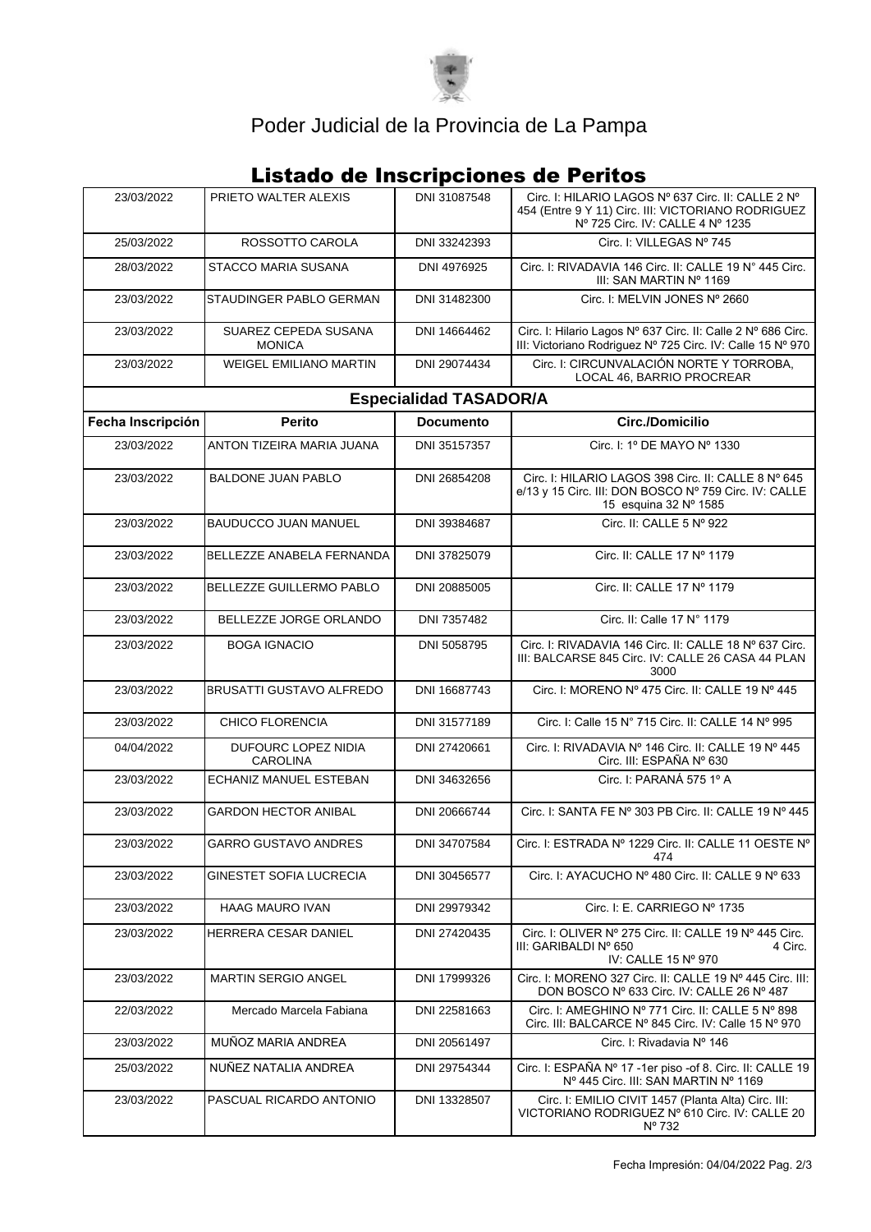

# Poder Judicial de la Provincia de La Pampa

### **Listado de Inscripciones de Peritos**

| 23/03/2022                    | PRIETO WALTER ALEXIS                   | DNI 31087548 | Circ. I: HILARIO LAGOS Nº 637 Circ. II: CALLE 2 Nº<br>454 (Entre 9 Y 11) Circ. III: VICTORIANO RODRIGUEZ<br>Nº 725 Circ. IV: CALLE 4 Nº 1235 |  |  |  |
|-------------------------------|----------------------------------------|--------------|----------------------------------------------------------------------------------------------------------------------------------------------|--|--|--|
| 25/03/2022                    | ROSSOTTO CAROLA                        | DNI 33242393 | Circ. I: VILLEGAS Nº 745                                                                                                                     |  |  |  |
| 28/03/2022                    | STACCO MARIA SUSANA                    | DNI 4976925  | Circ. I: RIVADAVIA 146 Circ. II: CALLE 19 N° 445 Circ.<br>III: SAN MARTIN Nº 1169                                                            |  |  |  |
| 23/03/2022                    | STAUDINGER PABLO GERMAN                | DNI 31482300 | Circ. I: MELVIN JONES Nº 2660                                                                                                                |  |  |  |
| 23/03/2022                    | SUAREZ CEPEDA SUSANA<br><b>MONICA</b>  | DNI 14664462 | Circ. I: Hilario Lagos Nº 637 Circ. II: Calle 2 Nº 686 Circ.<br>III: Victoriano Rodriguez Nº 725 Circ. IV: Calle 15 Nº 970                   |  |  |  |
| 23/03/2022                    | <b>WEIGEL EMILIANO MARTIN</b>          | DNI 29074434 | Circ. I: CIRCUNVALACIÓN NORTE Y TORROBA,<br>LOCAL 46, BARRIO PROCREAR                                                                        |  |  |  |
| <b>Especialidad TASADOR/A</b> |                                        |              |                                                                                                                                              |  |  |  |
| Fecha Inscripción             | <b>Perito</b>                          | Documento    | Circ./Domicilio                                                                                                                              |  |  |  |
| 23/03/2022                    | ANTON TIZEIRA MARIA JUANA              | DNI 35157357 | Circ. I: 1º DE MAYO Nº 1330                                                                                                                  |  |  |  |
| 23/03/2022                    | <b>BALDONE JUAN PABLO</b>              | DNI 26854208 | Circ. I: HILARIO LAGOS 398 Circ. II: CALLE 8 Nº 645<br>e/13 y 15 Circ. III: DON BOSCO Nº 759 Circ. IV: CALLE<br>15 esquina 32 Nº 1585        |  |  |  |
| 23/03/2022                    | <b>BAUDUCCO JUAN MANUEL</b>            | DNI 39384687 | Circ. II: CALLE 5 Nº 922                                                                                                                     |  |  |  |
| 23/03/2022                    | BELLEZZE ANABELA FERNANDA              | DNI 37825079 | Circ. II: CALLE 17 Nº 1179                                                                                                                   |  |  |  |
| 23/03/2022                    | BELLEZZE GUILLERMO PABLO               | DNI 20885005 | Circ. II: CALLE 17 Nº 1179                                                                                                                   |  |  |  |
| 23/03/2022                    | BELLEZZE JORGE ORLANDO                 | DNI 7357482  | Circ. II: Calle 17 N° 1179                                                                                                                   |  |  |  |
| 23/03/2022                    | <b>BOGA IGNACIO</b>                    | DNI 5058795  | Circ. I: RIVADAVIA 146 Circ. II: CALLE 18 Nº 637 Circ.<br>III: BALCARSE 845 Circ. IV: CALLE 26 CASA 44 PLAN<br>3000                          |  |  |  |
| 23/03/2022                    | <b>BRUSATTI GUSTAVO ALFREDO</b>        | DNI 16687743 | Circ. I: MORENO Nº 475 Circ. II: CALLE 19 Nº 445                                                                                             |  |  |  |
| 23/03/2022                    | <b>CHICO FLORENCIA</b>                 | DNI 31577189 | Circ. I: Calle 15 N° 715 Circ. II: CALLE 14 N° 995                                                                                           |  |  |  |
| 04/04/2022                    | DUFOURC LOPEZ NIDIA<br><b>CAROLINA</b> | DNI 27420661 | Circ. I: RIVADAVIA Nº 146 Circ. II: CALLE 19 Nº 445<br>Circ. III: ESPAÑA Nº 630                                                              |  |  |  |
| 23/03/2022                    | <b>ECHANIZ MANUEL ESTEBAN</b>          | DNI 34632656 | Circ. I: PARANÁ 575 1º A                                                                                                                     |  |  |  |
| 23/03/2022                    | <b>GARDON HECTOR ANIBAL</b>            | DNI 20666744 | Circ. I: SANTA FE Nº 303 PB Circ. II: CALLE 19 Nº 445                                                                                        |  |  |  |
| 23/03/2022                    | GARRO GUSTAVO ANDRES                   | DNI 34707584 | Circ. I: ESTRADA Nº 1229 Circ. II: CALLE 11 OESTE Nº<br>474                                                                                  |  |  |  |
| 23/03/2022                    | GINESTET SOFIA LUCRECIA                | DNI 30456577 | Circ. I: AYACUCHO Nº 480 Circ. II: CALLE 9 Nº 633                                                                                            |  |  |  |
| 23/03/2022                    | <b>HAAG MAURO IVAN</b>                 | DNI 29979342 | Circ. I: E. CARRIEGO Nº 1735                                                                                                                 |  |  |  |
| 23/03/2022                    | HERRERA CESAR DANIEL                   | DNI 27420435 | Circ. I: OLIVER Nº 275 Circ. II: CALLE 19 Nº 445 Circ.<br>III: GARIBALDI Nº 650<br>4 Circ.<br>IV: CALLE 15 Nº 970                            |  |  |  |
| 23/03/2022                    | <b>MARTIN SERGIO ANGEL</b>             | DNI 17999326 | Circ. I: MORENO 327 Circ. II: CALLE 19 Nº 445 Circ. III:<br>DON BOSCO Nº 633 Circ. IV: CALLE 26 Nº 487                                       |  |  |  |
| 22/03/2022                    | Mercado Marcela Fabiana                | DNI 22581663 | Circ. I: AMEGHINO Nº 771 Circ. II: CALLE 5 Nº 898<br>Circ. III: BALCARCE Nº 845 Circ. IV: Calle 15 Nº 970                                    |  |  |  |
| 23/03/2022                    | MUÑOZ MARIA ANDREA                     | DNI 20561497 | Circ. I: Rivadavia Nº 146                                                                                                                    |  |  |  |
| 25/03/2022                    | NUÑEZ NATALIA ANDREA                   | DNI 29754344 | Circ. I: ESPAÑA Nº 17 -1er piso -of 8. Circ. II: CALLE 19<br>Nº 445 Circ. III: SAN MARTIN Nº 1169                                            |  |  |  |
| 23/03/2022                    | PASCUAL RICARDO ANTONIO                | DNI 13328507 | Circ. I: EMILIO CIVIT 1457 (Planta Alta) Circ. III:<br>VICTORIANO RODRIGUEZ Nº 610 Circ. IV: CALLE 20<br>Nº 732                              |  |  |  |